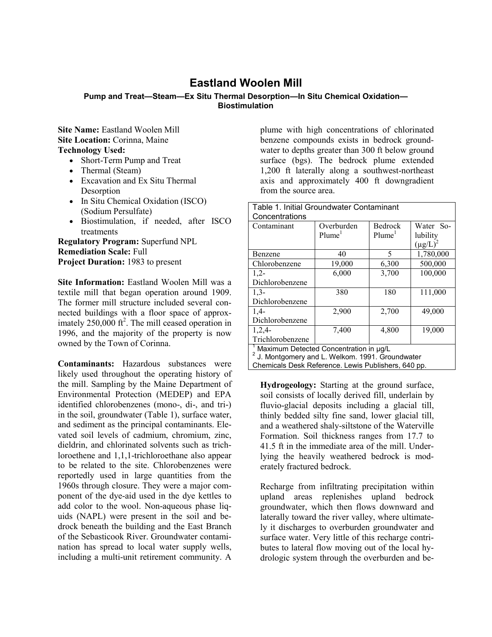## **Eastland Woolen Mill**

## **Pump and Treat—Steam—Ex Situ Thermal Desorption—In Situ Chemical Oxidation— Biostimulation**

**Site Name:** Eastland Woolen Mill **Site Location:** Corinna, Maine **Technology Used:**

- Short-Term Pump and Treat
- Thermal (Steam)
- Excavation and Ex Situ Thermal Desorption
- In Situ Chemical Oxidation (ISCO) (Sodium Persulfate)
- Biostimulation, if needed, after ISCO treatments

**Regulatory Program:** Superfund NPL **Remediation Scale:** Full **Project Duration:** 1983 to present

**Site Information:** Eastland Woolen Mill was a textile mill that began operation around 1909. The former mill structure included several connected buildings with a floor space of approximately  $250,000$  ft<sup>2</sup>. The mill ceased operation in 1996, and the majority of the property is now owned by the Town of Corinna.

**Contaminants:** Hazardous substances were likely used throughout the operating history of the mill. Sampling by the Maine Department of Environmental Protection (MEDEP) and EPA identified chlorobenzenes (mono-, di-, and tri-) in the soil, groundwater (Table 1), surface water, and sediment as the principal contaminants. Elevated soil levels of cadmium, chromium, zinc, dieldrin, and chlorinated solvents such as trichloroethene and 1,1,1-trichloroethane also appear to be related to the site. Chlorobenzenes were reportedly used in large quantities from the 1960s through closure. They were a major component of the dye-aid used in the dye kettles to add color to the wool. Non-aqueous phase liquids (NAPL) were present in the soil and bedrock beneath the building and the East Branch of the Sebasticook River. Groundwater contamination has spread to local water supply wells, including a multi-unit retirement community. A

plume with high concentrations of chlorinated benzene compounds exists in bedrock groundwater to depths greater than 300 ft below ground surface (bgs). The bedrock plume extended 1,200 ft laterally along a southwest-northeast axis and approximately 400 ft downgradient from the source area.

| Table 1. Initial Groundwater Contaminant                    |                    |                    |               |  |  |
|-------------------------------------------------------------|--------------------|--------------------|---------------|--|--|
| Concentrations                                              |                    |                    |               |  |  |
| Contaminant                                                 | Overburden         | <b>Bedrock</b>     | Water So-     |  |  |
|                                                             | Plume <sup>1</sup> | Plume <sup>1</sup> | lubility      |  |  |
|                                                             |                    |                    | $(\mu g/L)^2$ |  |  |
| Benzene                                                     | 40                 | 5                  | 1,780,000     |  |  |
| Chlorobenzene                                               | 19,000             | 6,300              | 500,000       |  |  |
| $1,2-$                                                      | 6,000              | 3,700              | 100,000       |  |  |
| Dichlorobenzene                                             |                    |                    |               |  |  |
| $1,3-$                                                      | 380                | 180                | 111,000       |  |  |
| Dichlorobenzene                                             |                    |                    |               |  |  |
| $1,4-$                                                      | 2,900              | 2,700              | 49,000        |  |  |
| Dichlorobenzene                                             |                    |                    |               |  |  |
| 1,2,4                                                       | 7,400              | 4,800              | 19,000        |  |  |
| Trichlorobenzene                                            |                    |                    |               |  |  |
| Maximum Detected Concentration in µg/L                      |                    |                    |               |  |  |
| <sup>2</sup> J. Montgomery and L. Welkom. 1991. Groundwater |                    |                    |               |  |  |

Chemicals Desk Reference. Lewis Publishers, 640 pp.

**Hydrogeology:** Starting at the ground surface, soil consists of locally derived fill, underlain by fluvio-glacial deposits including a glacial till, thinly bedded silty fine sand, lower glacial till, and a weathered shaly-siltstone of the Waterville Formation. Soil thickness ranges from 17.7 to 41.5 ft in the immediate area of the mill. Underlying the heavily weathered bedrock is moderately fractured bedrock.

Recharge from infiltrating precipitation within upland areas replenishes upland bedrock groundwater, which then flows downward and laterally toward the river valley, where ultimately it discharges to overburden groundwater and surface water. Very little of this recharge contributes to lateral flow moving out of the local hydrologic system through the overburden and be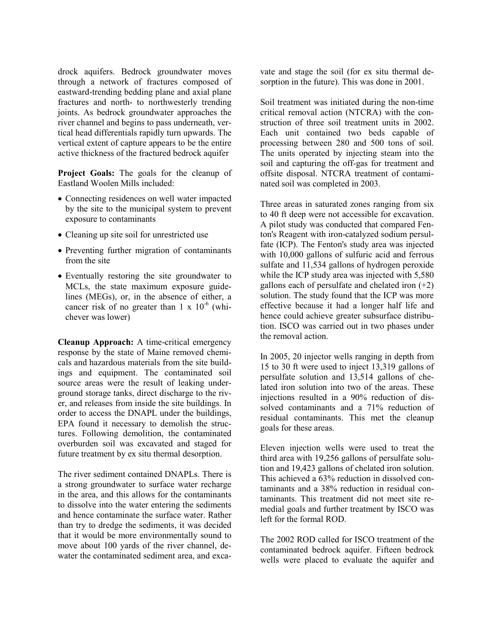drock aquifers. Bedrock groundwater moves through a network of fractures composed of eastward-trending bedding plane and axial plane fractures and north- to northwesterly trending joints. As bedrock groundwater approaches the river channel and begins to pass underneath, vertical head differentials rapidly turn upwards. The vertical extent of capture appears to be the entire active thickness of the fractured bedrock aquifer

**Project Goals:** The goals for the cleanup of Eastland Woolen Mills included:

- Connecting residences on well water impacted by the site to the municipal system to prevent exposure to contaminants
- Cleaning up site soil for unrestricted use
- Preventing further migration of contaminants from the site
- Eventually restoring the site groundwater to MCLs, the state maximum exposure guidelines (MEGs), or, in the absence of either, a cancer risk of no greater than  $1 \times 10^{-6}$  (whichever was lower)

**Cleanup Approach:** A time-critical emergency response by the state of Maine removed chemicals and hazardous materials from the site buildings and equipment. The contaminated soil source areas were the result of leaking underground storage tanks, direct discharge to the river, and releases from inside the site buildings. In order to access the DNAPL under the buildings, EPA found it necessary to demolish the structures. Following demolition, the contaminated overburden soil was excavated and staged for future treatment by ex situ thermal desorption.

The river sediment contained DNAPLs. There is a strong groundwater to surface water recharge in the area, and this allows for the contaminants to dissolve into the water entering the sediments and hence contaminate the surface water. Rather than try to dredge the sediments, it was decided that it would be more environmentally sound to move about 100 yards of the river channel, dewater the contaminated sediment area, and excavate and stage the soil (for ex situ thermal desorption in the future). This was done in 2001.

Soil treatment was initiated during the non-time critical removal action (NTCRA) with the construction of three soil treatment units in 2002. Each unit contained two beds capable of processing between 280 and 500 tons of soil. The units operated by injecting steam into the soil and capturing the off-gas for treatment and offsite disposal. NTCRA treatment of contaminated soil was completed in 2003.

Three areas in saturated zones ranging from six to 40 ft deep were not accessible for excavation. A pilot study was conducted that compared Fenton's Reagent with iron-catalyzed sodium persulfate (ICP). The Fenton's study area was injected with 10,000 gallons of sulfuric acid and ferrous sulfate and 11,534 gallons of hydrogen peroxide while the ICP study area was injected with 5,580 gallons each of persulfate and chelated iron  $(+2)$ solution. The study found that the ICP was more effective because it had a longer half life and hence could achieve greater subsurface distribution. ISCO was carried out in two phases under the removal action.

In 2005, 20 injector wells ranging in depth from 15 to 30 ft were used to inject 13,319 gallons of persulfate solution and 13,514 gallons of chelated iron solution into two of the areas. These injections resulted in a 90% reduction of dissolved contaminants and a 71% reduction of residual contaminants. This met the cleanup goals for these areas.

Eleven injection wells were used to treat the third area with 19,256 gallons of persulfate solution and 19,423 gallons of chelated iron solution. This achieved a 63% reduction in dissolved contaminants and a 38% reduction in residual contaminants. This treatment did not meet site remedial goals and further treatment by ISCO was left for the formal ROD.

The 2002 ROD called for ISCO treatment of the contaminated bedrock aquifer. Fifteen bedrock wells were placed to evaluate the aquifer and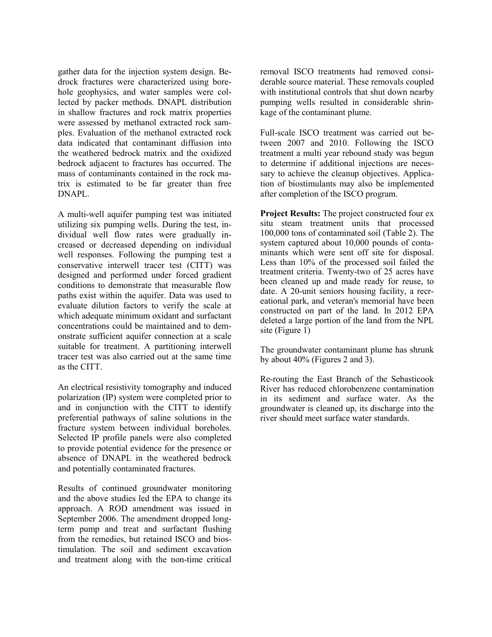gather data for the injection system design. Bedrock fractures were characterized using borehole geophysics, and water samples were collected by packer methods. DNAPL distribution in shallow fractures and rock matrix properties were assessed by methanol extracted rock samples. Evaluation of the methanol extracted rock data indicated that contaminant diffusion into the weathered bedrock matrix and the oxidized bedrock adjacent to fractures has occurred. The mass of contaminants contained in the rock matrix is estimated to be far greater than free DNAPL.

A multi-well aquifer pumping test was initiated utilizing six pumping wells. During the test, individual well flow rates were gradually increased or decreased depending on individual well responses. Following the pumping test a conservative interwell tracer test (CITT) was designed and performed under forced gradient conditions to demonstrate that measurable flow paths exist within the aquifer. Data was used to evaluate dilution factors to verify the scale at which adequate minimum oxidant and surfactant concentrations could be maintained and to demonstrate sufficient aquifer connection at a scale suitable for treatment. A partitioning interwell tracer test was also carried out at the same time as the CITT.

An electrical resistivity tomography and induced polarization (IP) system were completed prior to and in conjunction with the CITT to identify preferential pathways of saline solutions in the fracture system between individual boreholes. Selected IP profile panels were also completed to provide potential evidence for the presence or absence of DNAPL in the weathered bedrock and potentially contaminated fractures.

Results of continued groundwater monitoring and the above studies led the EPA to change its approach. A ROD amendment was issued in September 2006. The amendment dropped longterm pump and treat and surfactant flushing from the remedies, but retained ISCO and biostimulation. The soil and sediment excavation and treatment along with the non-time critical

removal ISCO treatments had removed considerable source material. These removals coupled with institutional controls that shut down nearby pumping wells resulted in considerable shrinkage of the contaminant plume.

Full-scale ISCO treatment was carried out between 2007 and 2010. Following the ISCO treatment a multi year rebound study was begun to determine if additional injections are necessary to achieve the cleanup objectives. Application of biostimulants may also be implemented after completion of the ISCO program.

**Project Results:** The project constructed four ex situ steam treatment units that processed 100,000 tons of contaminated soil (Table 2). The system captured about 10,000 pounds of contaminants which were sent off site for disposal. Less than 10% of the processed soil failed the treatment criteria. Twenty-two of 25 acres have been cleaned up and made ready for reuse, to date. A 20-unit seniors housing facility, a recreational park, and veteran's memorial have been constructed on part of the land. In 2012 EPA deleted a large portion of the land from the NPL site (Figure 1)

The groundwater contaminant plume has shrunk by about 40% (Figures 2 and 3).

Re-routing the East Branch of the Sebasticook River has reduced chlorobenzene contamination in its sediment and surface water. As the groundwater is cleaned up, its discharge into the river should meet surface water standards.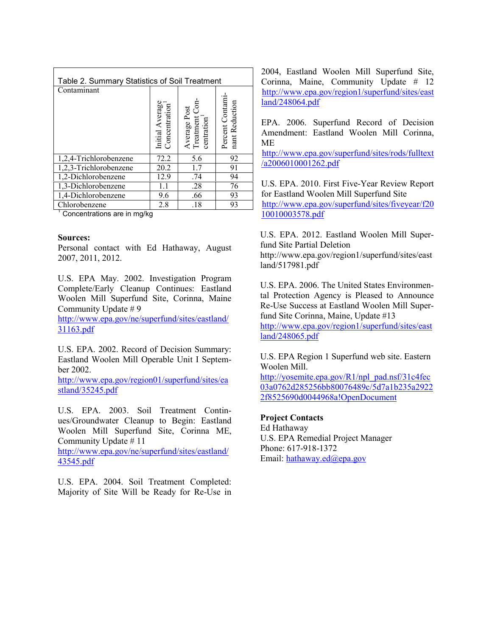| Table 2. Summary Statistics of Soil Treatment |                                               |                                                         |                                   |  |
|-----------------------------------------------|-----------------------------------------------|---------------------------------------------------------|-----------------------------------|--|
| Contaminant                                   |                                               |                                                         |                                   |  |
|                                               | Initial Average<br>Concentration <sup>1</sup> | Average Post<br>Treatment Co <sub>1</sub><br>centration | Percent Contami<br>nant Reduction |  |
| 1,2,4-Trichlorobenzene                        | 72.2                                          | 5.6                                                     | 92                                |  |
| 1,2,3-Trichlorobenzene                        | 20.2                                          | 1.7                                                     | 91                                |  |
| 1,2-Dichlorobenzene                           | 12.9                                          | .74                                                     | 94                                |  |
| 1,3-Dichlorobenzene                           | 11                                            | .28                                                     | 76                                |  |
| 1,4-Dichlorobenzene                           | 9.6                                           | .66                                                     | 93                                |  |
| Chlorobenzene                                 | 2.8                                           | .18                                                     | 93                                |  |

<sup>1</sup> Concentrations are in mg/kg

## **Sources:**

Personal contact with Ed Hathaway, August 2007, 2011, 2012.

U.S. EPA May. 2002. Investigation Program Complete/Early Cleanup Continues: Eastland Woolen Mill Superfund Site, Corinna, Maine Community Update # 9

[http://www.epa.gov/ne/superfund/sites/eastland/](http://www.epa.gov/ne/superfund/sites/eastland/31163.pdf) [31163.pdf](http://www.epa.gov/ne/superfund/sites/eastland/31163.pdf)

U.S. EPA. 2002. Record of Decision Summary: Eastland Woolen Mill Operable Unit I September 2002.

[http://www.epa.gov/region01/superfund/sites/ea](http://www.epa.gov/region01/superfund/sites/eastland/35245.pdf) [stland/35245.pdf](http://www.epa.gov/region01/superfund/sites/eastland/35245.pdf)

U.S. EPA. 2003. Soil Treatment Continues/Groundwater Cleanup to Begin: Eastland Woolen Mill Superfund Site, Corinna ME, Community Update # 11

[http://www.epa.gov/ne/superfund/sites/eastland/](http://www.epa.gov/ne/superfund/sites/eastland/43545.pdf) [43545.pdf](http://www.epa.gov/ne/superfund/sites/eastland/43545.pdf)

U.S. EPA. 2004. Soil Treatment Completed: Majority of Site Will be Ready for Re-Use in 2004, Eastland Woolen Mill Superfund Site, Corinna, Maine, Community Update # 12 [http://www.epa.gov/region1/superfund/sites/east](http://www.epa.gov/region1/superfund/sites/eastland/248064.pdf) [land/248064.pdf](http://www.epa.gov/region1/superfund/sites/eastland/248064.pdf)

EPA. 2006. Superfund Record of Decision Amendment: Eastland Woolen Mill Corinna, ME

[http://www.epa.gov/superfund/sites/rods/fulltext](http://www.epa.gov/superfund/sites/rods/fulltext/a2006010001262.pdf) [/a2006010001262.pdf](http://www.epa.gov/superfund/sites/rods/fulltext/a2006010001262.pdf)

U.S. EPA. 2010. First Five-Year Review Report for Eastland Woolen Mill Superfund Sit[e](http://www.epa.gov/region1/superfund/sites/eastland/259301.pdf) [http://www.epa.gov/superfund/sites/fiveyear/f20](http://www.epa.gov/superfund/sites/fiveyear/f2010010003578.pdf) [10010003578.pdf](http://www.epa.gov/superfund/sites/fiveyear/f2010010003578.pdf) 

U.S. EPA. 2012. Eastland Woolen Mill Superfund Site Partial Deletion http://www.epa.gov/region1/superfund/sites/east land/517981.pdf

U.S. EPA. 2006. The United States Environmental Protection Agency is Pleased to Announce Re-Use Success at Eastland Woolen Mill Superfund Site Corinna, Maine, Update #13

[http://www.epa.gov/region1/superfund/sites/east](http://www.epa.gov/region1/superfund/sites/eastland/248065.pdf) [land/248065.pdf](http://www.epa.gov/region1/superfund/sites/eastland/248065.pdf)

U.S. EPA Region 1 Superfund web site. Eastern Woolen Mill.

[http://yosemite.epa.gov/R1/npl\\_pad.nsf/31c4fec](http://yosemite.epa.gov/R1/npl_pad.nsf/31c4fec03a0762d285256bb80076489c/5d7a1b235a29222f8525690d0044968a!OpenDocument) [03a0762d285256bb80076489c/5d7a1b235a2922](http://yosemite.epa.gov/R1/npl_pad.nsf/31c4fec03a0762d285256bb80076489c/5d7a1b235a29222f8525690d0044968a!OpenDocument) [2f8525690d0044968a!OpenDocument](http://yosemite.epa.gov/R1/npl_pad.nsf/31c4fec03a0762d285256bb80076489c/5d7a1b235a29222f8525690d0044968a!OpenDocument)

## **Project Contacts**

Ed Hathaway U.S. EPA Remedial Project Manager Phone: 617-918-1372 Email: hathaway.ed@epa.gov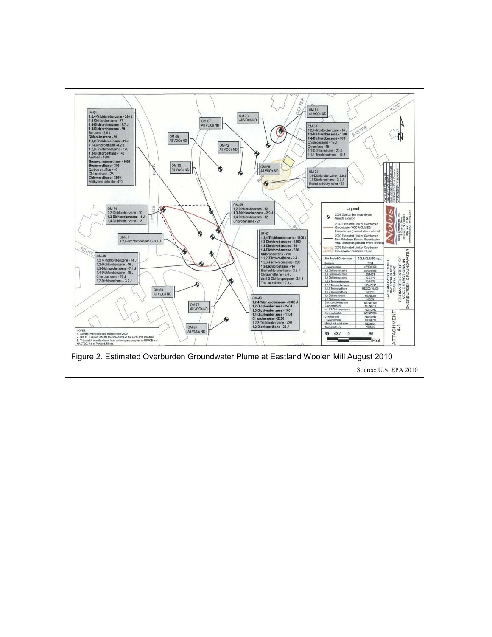